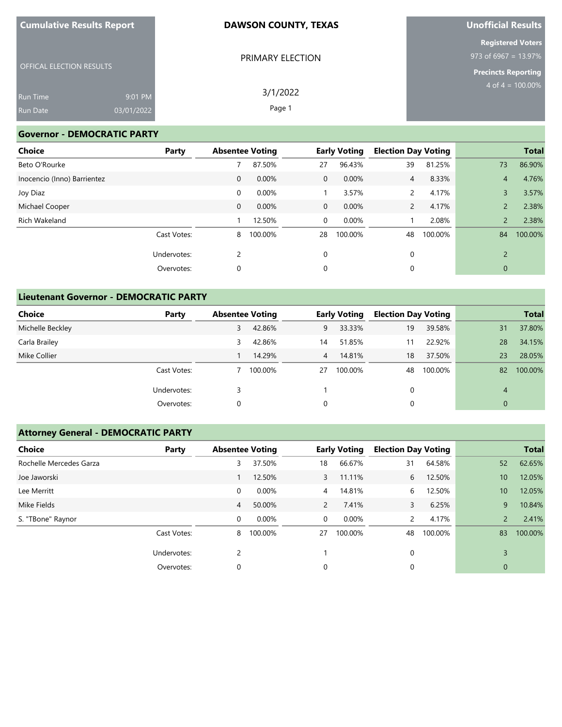| <b>Cumulative Results Report</b> |  |
|----------------------------------|--|
|----------------------------------|--|

# **Unofficial Results**

|                                 |            | PRIMARY ELECTION | <b>Registered Voters</b><br>973 of 6967 = 13.97% |
|---------------------------------|------------|------------------|--------------------------------------------------|
| <b>OFFICAL ELECTION RESULTS</b> |            |                  | <b>Precincts Reporting</b>                       |
| <b>Run Time</b>                 | 9:01 PM    | 3/1/2022         | 4 of $4 = 100.00\%$                              |
| <b>Run Date</b>                 | 03/01/2022 | Page 1           |                                                  |

## **Governor - DEMOCRATIC PARTY**

| Choice                      | Party       | <b>Absentee Voting</b> |         | <b>Early Voting</b> |         | <b>Election Day Voting</b> |         |                | <b>Total</b> |
|-----------------------------|-------------|------------------------|---------|---------------------|---------|----------------------------|---------|----------------|--------------|
| Beto O'Rourke               |             |                        | 87.50%  | 27                  | 96.43%  | 39                         | 81.25%  | 73             | 86.90%       |
| Inocencio (Inno) Barrientez |             | $\mathbf 0$            | 0.00%   | $\overline{0}$      | 0.00%   | $\overline{4}$             | 8.33%   | $\overline{4}$ | 4.76%        |
| Joy Diaz                    |             | 0                      | 0.00%   |                     | 3.57%   | 2                          | 4.17%   | 3              | 3.57%        |
| Michael Cooper              |             | $\mathbf 0$            | 0.00%   | $\overline{0}$      | 0.00%   | $\mathbf{2}$               | 4.17%   | $\overline{2}$ | 2.38%        |
| Rich Wakeland               |             |                        | 12.50%  | 0                   | 0.00%   |                            | 2.08%   | $\overline{2}$ | 2.38%        |
|                             | Cast Votes: | 8                      | 100.00% | 28                  | 100.00% | 48                         | 100.00% | 84             | 100.00%      |
|                             | Undervotes: | 2                      |         | $\Omega$            |         | 0                          |         | $\overline{2}$ |              |
|                             | Overvotes:  | 0                      |         | 0                   |         | 0                          |         | $\mathbf{0}$   |              |

## **Lieutenant Governor - DEMOCRATIC PARTY**

| Choice           | Party       | <b>Absentee Voting</b> |         |                | <b>Early Voting</b> | <b>Election Day Voting</b> |         |              | <b>Total</b> |
|------------------|-------------|------------------------|---------|----------------|---------------------|----------------------------|---------|--------------|--------------|
| Michelle Beckley |             | 3                      | 42.86%  | 9              | 33.33%              | 19                         | 39.58%  | 31           | 37.80%       |
| Carla Brailey    |             | 3                      | 42.86%  | 14             | 51.85%              |                            | 22.92%  | 28           | 34.15%       |
| Mike Collier     |             |                        | 14.29%  | $\overline{4}$ | 14.81%              | 18                         | 37.50%  | 23           | 28.05%       |
|                  | Cast Votes: |                        | 100.00% | 27             | 100.00%             | 48                         | 100.00% | 82           | 100.00%      |
|                  | Undervotes: |                        |         |                |                     | 0                          |         | 4            |              |
|                  | Overvotes:  | 0                      |         | 0              |                     | 0                          |         | $\mathbf{0}$ |              |

## **Attorney General - DEMOCRATIC PARTY**

| <b>Choice</b>           | Party       | <b>Election Day Voting</b><br><b>Absentee Voting</b><br><b>Early Voting</b> |         |                | <b>Total</b> |                |         |                |         |
|-------------------------|-------------|-----------------------------------------------------------------------------|---------|----------------|--------------|----------------|---------|----------------|---------|
| Rochelle Mercedes Garza |             | 3                                                                           | 37.50%  | 18             | 66.67%       | 31             | 64.58%  | 52             | 62.65%  |
| Joe Jaworski            |             |                                                                             | 12.50%  | $\overline{3}$ | 11.11%       | 6              | 12.50%  | 10             | 12.05%  |
| Lee Merritt             |             | 0                                                                           | 0.00%   | $\overline{4}$ | 14.81%       | 6              | 12.50%  | 10             | 12.05%  |
| Mike Fields             |             | 4                                                                           | 50.00%  | $\overline{2}$ | 7.41%        | 3              | 6.25%   | 9              | 10.84%  |
| S. "TBone" Raynor       |             | 0                                                                           | 0.00%   | 0              | $0.00\%$     | $\overline{2}$ | 4.17%   | $\overline{2}$ | 2.41%   |
|                         | Cast Votes: | 8                                                                           | 100.00% | 27             | 100.00%      | 48             | 100.00% | 83             | 100.00% |
|                         | Undervotes: | 2                                                                           |         |                |              | 0              |         | 3              |         |
|                         | Overvotes:  | 0                                                                           |         | 0              |              | 0              |         | 0              |         |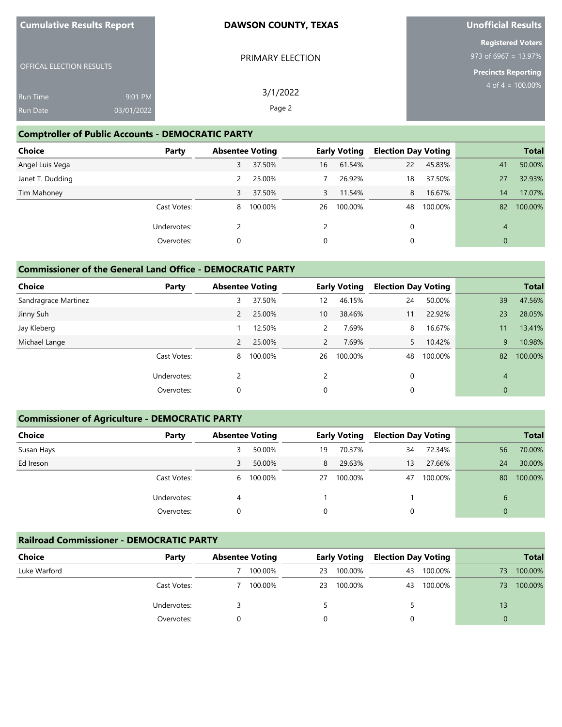| <b>Cumulative Results Report</b> |  |  |  |  |
|----------------------------------|--|--|--|--|
|----------------------------------|--|--|--|--|

# **Unofficial Results**

|                                 |            |                  | <b>Registered Voters</b> |
|---------------------------------|------------|------------------|--------------------------|
|                                 |            | PRIMARY ELECTION | 973 of 6967 = $13.97\%$  |
| <b>OFFICAL ELECTION RESULTS</b> |            |                  | Precincts Reporting      |
| <b>Run Time</b>                 | 9:01 PM    | 3/1/2022         | $4$ of $4 = 100.00\%$    |
| <b>Run Date</b>                 | 03/01/2022 | Page 2           |                          |

## **Comptroller of Public Accounts - DEMOCRATIC PARTY**

| <b>Choice</b>    | Party       | <b>Absentee Voting</b> |         |                | <b>Early Voting</b> | <b>Election Day Voting</b> |         |                | <b>Total</b> |
|------------------|-------------|------------------------|---------|----------------|---------------------|----------------------------|---------|----------------|--------------|
| Angel Luis Vega  |             | 3                      | 37.50%  | 16             | 61.54%              | 22                         | 45.83%  | 41             | 50.00%       |
| Janet T. Dudding |             |                        | 25.00%  |                | 26.92%              | 18                         | 37.50%  | 27             | 32.93%       |
| Tim Mahoney      |             | 3                      | 37.50%  | $\overline{3}$ | 11.54%              | 8                          | 16.67%  | 14             | 17.07%       |
|                  | Cast Votes: | 8                      | 100.00% | 26             | 100.00%             | 48                         | 100.00% | 82             | 100.00%      |
|                  | Undervotes: |                        |         |                |                     | 0                          |         | $\overline{4}$ |              |
|                  | Overvotes:  | 0                      |         | 0              |                     | 0                          |         | $\mathbf{0}$   |              |

## **Commissioner of the General Land Office - DEMOCRATIC PARTY**

| <b>Choice</b><br>Party |  | <b>Absentee Voting</b> |         | <b>Early Voting</b> |         |    |         | <b>Election Day Voting</b> |         | <b>Total</b> |
|------------------------|--|------------------------|---------|---------------------|---------|----|---------|----------------------------|---------|--------------|
| Sandragrace Martinez   |  | 3                      | 37.50%  | 12                  | 46.15%  | 24 | 50.00%  | 39                         | 47.56%  |              |
| Jinny Suh              |  | 2                      | 25.00%  | 10                  | 38.46%  | 11 | 22.92%  | 23                         | 28.05%  |              |
| Jay Kleberg            |  |                        | 12.50%  | $\overline{2}$      | 7.69%   | 8  | 16.67%  | 11                         | 13.41%  |              |
| Michael Lange          |  | 2                      | 25.00%  | $\overline{2}$      | 7.69%   | 5. | 10.42%  | 9                          | 10.98%  |              |
| Cast Votes:            |  | 8                      | 100.00% | 26                  | 100.00% | 48 | 100.00% | 82                         | 100.00% |              |
| Undervotes:            |  | 2                      |         | 2                   |         | 0  |         | 4                          |         |              |
| Overvotes:             |  | 0                      |         | 0                   |         | 0  |         | $\mathbf 0$                |         |              |

## **Commissioner of Agriculture - DEMOCRATIC PARTY**

| <b>Choice</b> | Party       | <b>Absentee Voting</b> |           |    | <b>Early Voting</b> | <b>Election Day Voting</b> |         |          | <b>Total</b> |
|---------------|-------------|------------------------|-----------|----|---------------------|----------------------------|---------|----------|--------------|
| Susan Hays    |             |                        | 50.00%    | 19 | 70.37%              | 34                         | 72.34%  | 56       | 70.00%       |
| Ed Ireson     |             | 3                      | 50.00%    | 8  | 29.63%              | 13                         | 27.66%  | 24       | 30.00%       |
|               | Cast Votes: |                        | 6 100.00% | 27 | 100.00%             | 47                         | 100.00% | 80       | 100.00%      |
|               | Undervotes: | 4                      |           |    |                     |                            |         | 6        |              |
|               | Overvotes:  |                        |           | 0  |                     | 0                          |         | $\Omega$ |              |

## **Railroad Commissioner - DEMOCRATIC PARTY**

| <b>Choice</b> | Party       | <b>Absentee Voting</b> |         | <b>Early Voting</b> |         | <b>Election Day Voting</b> |         |    |         |  | <b>Total</b> |
|---------------|-------------|------------------------|---------|---------------------|---------|----------------------------|---------|----|---------|--|--------------|
| Luke Warford  |             |                        | 100.00% | 23                  | 100.00% | 43                         | 100.00% | 73 | 100.00% |  |              |
|               | Cast Votes: |                        | 100.00% | 23                  | 100.00% | 43                         | 100.00% | 73 | 100.00% |  |              |
|               | Undervotes: |                        |         |                     |         |                            |         | 13 |         |  |              |
|               | Overvotes:  |                        |         |                     |         |                            |         | 0  |         |  |              |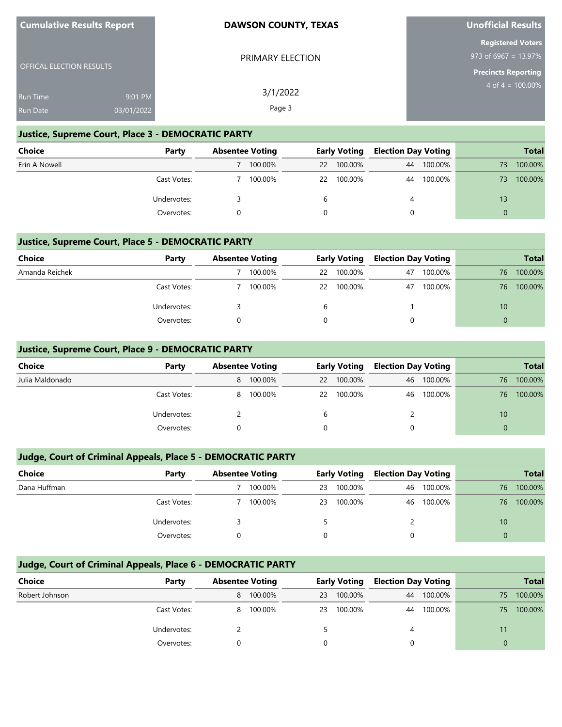| <b>Cumulative Results Report</b> |  |
|----------------------------------|--|
|----------------------------------|--|

OFFICAL ELECTION RESULTS

#### **DAWSON COUNTY, TEXAS**

PRIMARY ELECTION

3/1/2022 Page 3

# **Unofficial Results**

**Registered Voters** 973 of 6967 = 13.97%

**Precincts Reporting**  $4$  of  $4 = 100.00\%$ 

Run Time Run Date 9:01 PM 03/01/2022

## **Justice, Supreme Court, Place 3 - DEMOCRATIC PARTY**

| <b>Choice</b> | Party       | <b>Absentee Voting</b> |         |    | <b>Early Voting</b> | <b>Election Day Voting</b> |         |    | <b>Total</b> |
|---------------|-------------|------------------------|---------|----|---------------------|----------------------------|---------|----|--------------|
| Erin A Nowell |             |                        | 100.00% | 22 | 100.00%             | 44                         | 100.00% | 73 | 100.00%      |
|               | Cast Votes: |                        | 100.00% | 22 | 100.00%             | 44                         | 100.00% | 73 | 100.00%      |
|               | Undervotes: |                        |         | b  |                     | 4                          |         | 13 |              |
|               | Overvotes:  |                        |         |    |                     |                            |         |    |              |

#### **Justice, Supreme Court, Place 5 - DEMOCRATIC PARTY**

| <b>Choice</b>  | Party       | <b>Absentee Voting</b> |    | <b>Early Voting</b> | <b>Election Day Voting</b> |         |    | <b>Total</b> |
|----------------|-------------|------------------------|----|---------------------|----------------------------|---------|----|--------------|
| Amanda Reichek |             | 100.00%                |    | 22 100.00%          | 47                         | 100.00% | 76 | 100.00%      |
|                | Cast Votes: | 100.00%                | 22 | 100.00%             | 47                         | 100.00% | 76 | 100.00%      |
|                | Undervotes: |                        | b  |                     |                            |         | 10 |              |
|                | Overvotes:  |                        |    |                     |                            |         |    |              |

## **Justice, Supreme Court, Place 9 - DEMOCRATIC PARTY**

| <b>Choice</b>   | Party       | <b>Absentee Voting</b> |         |    | <b>Early Voting</b> | <b>Election Day Voting</b> |         |          | <b>Total</b> |
|-----------------|-------------|------------------------|---------|----|---------------------|----------------------------|---------|----------|--------------|
| Julia Maldonado |             | 8                      | 100.00% | 22 | 100.00%             | 46                         | 100.00% | 76       | 100.00%      |
|                 | Cast Votes: | 8                      | 100.00% |    | 22 100.00%          | 46                         | 100.00% | 76       | 100.00%      |
| Undervotes:     |             |                        |         | b  |                     | 2                          |         | 10       |              |
|                 | Overvotes:  |                        |         |    |                     |                            |         | $\Omega$ |              |

## **Judge, Court of Criminal Appeals, Place 5 - DEMOCRATIC PARTY**

| Choice       | Party       | <b>Absentee Voting</b> |         |    | <b>Early Voting</b> | <b>Election Day Voting</b> |         |          | <b>Total</b> |
|--------------|-------------|------------------------|---------|----|---------------------|----------------------------|---------|----------|--------------|
| Dana Huffman |             |                        | 100.00% | 23 | 100.00%             | 46                         | 100.00% | 76       | 100.00%      |
|              | Cast Votes: |                        | 100.00% | 23 | 100.00%             | 46                         | 100.00% | 76       | 100.00%      |
|              | Undervotes: |                        |         |    |                     |                            |         | 10       |              |
|              | Overvotes:  |                        |         |    |                     |                            |         | $\Omega$ |              |

## **Judge, Court of Criminal Appeals, Place 6 - DEMOCRATIC PARTY**

| Choice         | Party       |   | <b>Absentee Voting</b> |    | <b>Early Voting</b> | <b>Election Day Voting</b> |         |    | <b>Total</b> |
|----------------|-------------|---|------------------------|----|---------------------|----------------------------|---------|----|--------------|
| Robert Johnson |             | 8 | 100.00%                | 23 | 100.00%             | 44                         | 100.00% | 75 | 100.00%      |
|                | Cast Votes: | 8 | 100.00%                | 23 | 100.00%             | 44                         | 100.00% | 75 | 100.00%      |
|                | Undervotes: |   |                        |    |                     | 4                          |         | 11 |              |
|                | Overvotes:  |   |                        |    |                     |                            |         |    |              |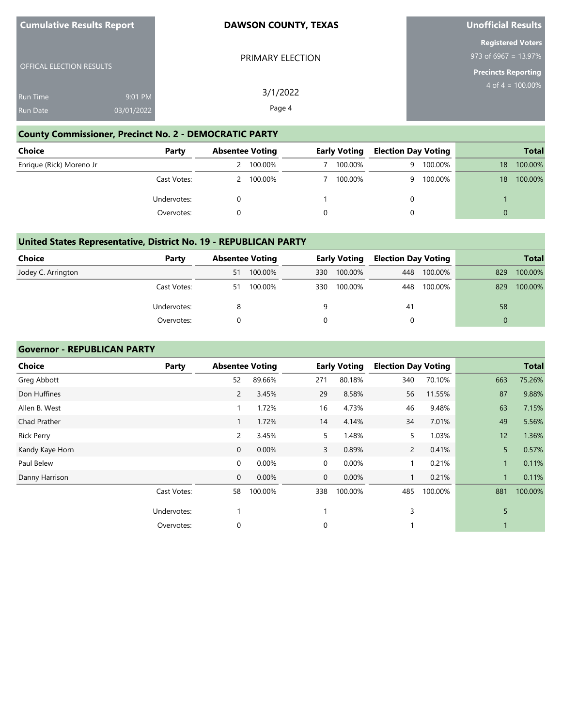| <b>Cumulative Results Report</b> |  |  |  |  |
|----------------------------------|--|--|--|--|
|----------------------------------|--|--|--|--|

OFFICAL ELECTION RESULTS

#### **DAWSON COUNTY, TEXAS**

PRIMARY ELECTION

# **Unofficial Results**

**Registered Voters** 973 of 6967 = 13.97%

**Precincts Reporting**

4 of  $4 = 100.00\%$ 

| Run Time | 9:01 PM    | 3/1/2022 |
|----------|------------|----------|
| Run Date | 03/01/2022 | Page 4   |

## **County Commissioner, Precinct No. 2 - DEMOCRATIC PARTY**

| Choice                   | Party       | <b>Absentee Voting</b> |         | <b>Early Voting</b> | <b>Election Day Voting</b> |         |                 | <b>Total</b> |
|--------------------------|-------------|------------------------|---------|---------------------|----------------------------|---------|-----------------|--------------|
| Enrique (Rick) Moreno Jr |             |                        | 100.00% | 100.00%             | q                          | 100.00% | 18              | 100.00%      |
|                          | Cast Votes: |                        | 100.00% | 100.00%             | Q                          | 100.00% | 18 <sup>1</sup> | 100.00%      |
|                          | Undervotes: |                        |         |                     |                            |         |                 |              |
|                          | Overvotes:  |                        |         |                     |                            |         |                 |              |

## **United States Representative, District No. 19 - REPUBLICAN PARTY**

| <b>Choice</b>      | Party       |    | <b>Absentee Voting</b> |     | <b>Early Voting</b> | <b>Election Day Voting</b> |         |     | <b>Total</b> |
|--------------------|-------------|----|------------------------|-----|---------------------|----------------------------|---------|-----|--------------|
| Jodey C. Arrington |             | 51 | 100.00%                | 330 | 100.00%             | 448                        | 100.00% | 829 | 100.00%      |
|                    | Cast Votes: | 51 | 100.00%                | 330 | 100.00%             | 448                        | 100.00% | 829 | 100.00%      |
|                    | Undervotes: |    |                        | q   |                     | 41                         |         | 58  |              |
|                    | Overvotes:  |    |                        |     |                     |                            |         |     |              |

#### **Governor - REPUBLICAN PARTY**

| <b>Choice</b>     | Party       | <b>Absentee Voting</b> |         |              | <b>Early Voting</b> | <b>Election Day Voting</b> |         |     | <b>Total</b> |
|-------------------|-------------|------------------------|---------|--------------|---------------------|----------------------------|---------|-----|--------------|
| Greg Abbott       |             | 52                     | 89.66%  | 271          | 80.18%              | 340                        | 70.10%  | 663 | 75.26%       |
| Don Huffines      |             | $\overline{2}$         | 3.45%   | 29           | 8.58%               | 56                         | 11.55%  | 87  | 9.88%        |
| Allen B. West     |             |                        | 1.72%   | 16           | 4.73%               | 46                         | 9.48%   | 63  | 7.15%        |
| Chad Prather      |             |                        | 1.72%   | 14           | 4.14%               | 34                         | 7.01%   | 49  | 5.56%        |
| <b>Rick Perry</b> |             | 2                      | 3.45%   | 5            | 1.48%               | 5                          | 1.03%   | 12  | 1.36%        |
| Kandy Kaye Horn   |             | 0                      | 0.00%   | 3            | 0.89%               | $\mathbf{2}$               | 0.41%   | 5   | 0.57%        |
| Paul Belew        |             | $\mathbf 0$            | 0.00%   | $\mathbf 0$  | 0.00%               |                            | 0.21%   |     | 0.11%        |
| Danny Harrison    |             | $\mathbf 0$            | 0.00%   | $\mathbf 0$  | 0.00%               | 1.                         | 0.21%   |     | 0.11%        |
|                   | Cast Votes: | 58                     | 100.00% | 338          | 100.00%             | 485                        | 100.00% | 881 | 100.00%      |
|                   | Undervotes: |                        |         | $\mathbf{1}$ |                     | 3                          |         | 5   |              |
|                   | Overvotes:  | 0                      |         | $\mathbf 0$  |                     |                            |         |     |              |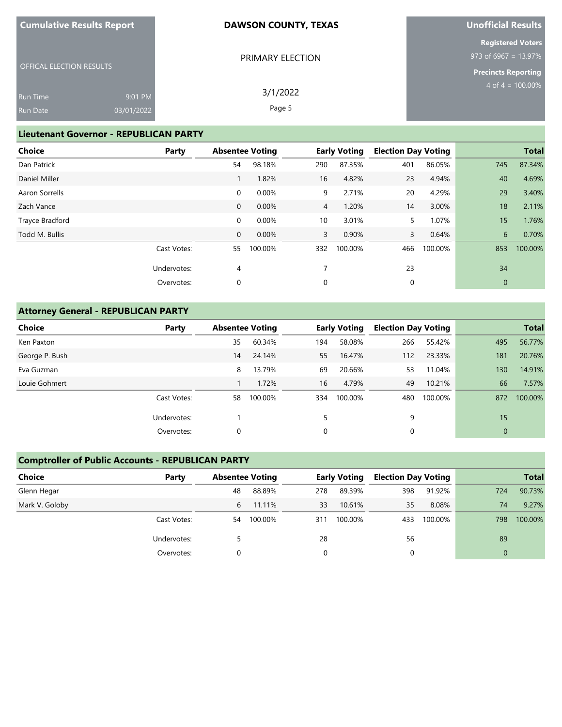|  | <b>Cumulative Results Report</b> |  |  |  |  |
|--|----------------------------------|--|--|--|--|
|--|----------------------------------|--|--|--|--|

PRIMARY ELECTION

# **Unofficial Results**

OFFICAL ELECTION RESULTS

**Registered Voters** 973 of 6967 = 13.97%

**Precincts Reporting** 4 of  $4 = 100.00\%$ 

| Run Time | 9:01 PM    | 3/1/2022 |
|----------|------------|----------|
| Run Date | 03/01/2022 | Page 5   |

## **Lieutenant Governor - REPUBLICAN PARTY**

| Party       |                |         |                        |         |                                                         |         |                            | <b>Total</b> |
|-------------|----------------|---------|------------------------|---------|---------------------------------------------------------|---------|----------------------------|--------------|
|             | 54             | 98.18%  | 290                    | 87.35%  | 401                                                     | 86.05%  | 745                        | 87.34%       |
|             |                | 1.82%   | 16                     | 4.82%   | 23                                                      | 4.94%   | 40                         | 4.69%        |
|             | $\mathbf 0$    | 0.00%   | 9                      | 2.71%   | 20                                                      | 4.29%   | 29                         | 3.40%        |
|             | $\mathbf 0$    | 0.00%   |                        | 1.20%   | 14                                                      | 3.00%   | 18                         | 2.11%        |
|             | $\mathbf 0$    | 0.00%   | 10                     | 3.01%   | 5                                                       | 1.07%   | 15                         | 1.76%        |
|             | $\mathbf{0}$   | 0.00%   |                        | 0.90%   | 3                                                       | 0.64%   | 6                          | 0.70%        |
| Cast Votes: | 55             | 100.00% | 332                    | 100.00% | 466                                                     | 100.00% | 853                        | 100.00%      |
| Undervotes: | $\overline{4}$ |         |                        |         | 23                                                      |         | 34                         |              |
| Overvotes:  | 0              |         | 0                      |         | 0                                                       |         | $\mathbf 0$                |              |
|             |                |         | <b>Absentee Voting</b> |         | <b>Early Voting</b><br>$\overline{4}$<br>$\overline{3}$ |         | <b>Election Day Voting</b> |              |

## **Attorney General - REPUBLICAN PARTY**

| <b>Choice</b>  | Party       | <b>Absentee Voting</b> |         |     | <b>Early Voting</b> | <b>Election Day Voting</b> |         |              | <b>Total</b> |
|----------------|-------------|------------------------|---------|-----|---------------------|----------------------------|---------|--------------|--------------|
| Ken Paxton     |             | 35                     | 60.34%  | 194 | 58.08%              | 266                        | 55.42%  | 495          | 56.77%       |
| George P. Bush |             | 14                     | 24.14%  | 55  | 16.47%              | 112                        | 23.33%  | 181          | 20.76%       |
| Eva Guzman     |             | 8                      | 13.79%  | 69  | 20.66%              | 53                         | 11.04%  | 130          | 14.91%       |
| Louie Gohmert  |             |                        | 1.72%   | 16  | 4.79%               | 49                         | 10.21%  | 66           | 7.57%        |
|                | Cast Votes: | 58                     | 100.00% | 334 | 100.00%             | 480                        | 100.00% | 872          | 100.00%      |
|                | Undervotes: |                        |         |     |                     | 9                          |         | 15           |              |
|                | Overvotes:  | 0                      |         | 0   |                     | 0                          |         | $\mathbf{0}$ |              |

#### **Comptroller of Public Accounts - REPUBLICAN PARTY**

| Choice         | Party       | <b>Absentee Voting</b> |         |     | <b>Early Voting</b> | <b>Election Day Voting</b> |         |          | <b>Total</b> |
|----------------|-------------|------------------------|---------|-----|---------------------|----------------------------|---------|----------|--------------|
| Glenn Hegar    |             | 48                     | 88.89%  | 278 | 89.39%              | 398                        | 91.92%  | 724      | 90.73%       |
| Mark V. Goloby |             | 6                      | 11.11%  | 33  | 10.61%              | 35                         | 8.08%   | 74       | 9.27%        |
|                | Cast Votes: | 54                     | 100.00% | 311 | 100.00%             | 433                        | 100.00% | 798      | 100.00%      |
|                | Undervotes: |                        |         | 28  |                     | 56                         |         | 89       |              |
|                | Overvotes:  |                        |         | 0   |                     |                            |         | $\Omega$ |              |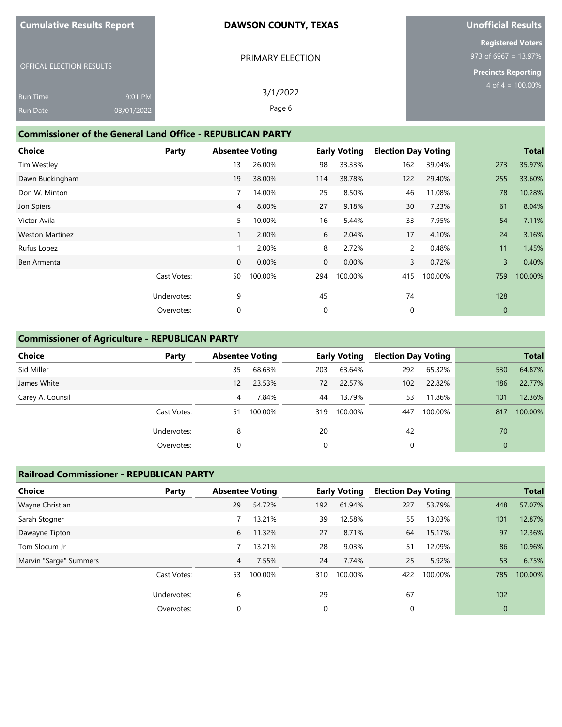| <b>Cumulative Results Report</b> |  |  |
|----------------------------------|--|--|
|                                  |  |  |

PRIMARY ELECTION

# **Unofficial Results**

**Registered Voters** 973 of 6967 = 13.97%

**Precincts Reporting** 4 of 4 =  $100.00\%$ 

OFFICAL ELECTION RESULTS

| <b>Run Time</b> | 9:01 PM    | 3/1/2022 |
|-----------------|------------|----------|
| <b>Run Date</b> | 03/01/2022 | Page 6   |

## **Commissioner of the General Land Office - REPUBLICAN PARTY**

| <b>Choice</b>          | Party       | <b>Absentee Voting</b> |         |              | <b>Early Voting</b> | <b>Election Day Voting</b> |         |                | <b>Total</b> |
|------------------------|-------------|------------------------|---------|--------------|---------------------|----------------------------|---------|----------------|--------------|
| <b>Tim Westley</b>     |             | 13                     | 26.00%  | 98           | 33.33%              | 162                        | 39.04%  | 273            | 35.97%       |
| Dawn Buckingham        |             | 19                     | 38.00%  | 114          | 38.78%              | 122                        | 29.40%  | 255            | 33.60%       |
| Don W. Minton          |             | 7                      | 14.00%  | 25           | 8.50%               | 46                         | 11.08%  | 78             | 10.28%       |
| Jon Spiers             |             | $\overline{4}$         | 8.00%   | 27           | 9.18%               | 30                         | 7.23%   | 61             | 8.04%        |
| Victor Avila           |             | 5                      | 10.00%  | 16           | 5.44%               | 33                         | 7.95%   | 54             | 7.11%        |
| <b>Weston Martinez</b> |             |                        | 2.00%   | 6            | 2.04%               | 17                         | 4.10%   | 24             | 3.16%        |
| Rufus Lopez            |             | 1                      | 2.00%   | 8            | 2.72%               | $\mathsf{2}$               | 0.48%   | 11             | 1.45%        |
| Ben Armenta            |             | $\mathbf 0$            | 0.00%   | $\mathbf{0}$ | 0.00%               | 3                          | 0.72%   | $\overline{3}$ | 0.40%        |
|                        | Cast Votes: | 50                     | 100.00% | 294          | 100.00%             | 415                        | 100.00% | 759            | 100.00%      |
|                        | Undervotes: | 9                      |         | 45           |                     | 74                         |         | 128            |              |
|                        | Overvotes:  | 0                      |         | 0            |                     | 0                          |         | $\mathbf{0}$   |              |

#### **Commissioner of Agriculture - REPUBLICAN PARTY**

| <b>Choice</b>    | Party       | <b>Absentee Voting</b> |         |     | <b>Early Voting</b> | <b>Election Day Voting</b> |         |              | <b>Total</b> |
|------------------|-------------|------------------------|---------|-----|---------------------|----------------------------|---------|--------------|--------------|
| Sid Miller       |             | 35                     | 68.63%  | 203 | 63.64%              | 292                        | 65.32%  | 530          | 64.87%       |
| James White      |             | 12                     | 23.53%  | 72  | 22.57%              | 102                        | 22.82%  | 186          | 22.77%       |
| Carey A. Counsil |             | 4                      | 7.84%   | 44  | 13.79%              | 53                         | 11.86%  | 101          | 12.36%       |
|                  | Cast Votes: | 51                     | 100.00% | 319 | 100.00%             | 447                        | 100.00% | 817          | 100.00%      |
|                  | Undervotes: | 8                      |         | 20  |                     | 42                         |         | 70           |              |
|                  | Overvotes:  | 0                      |         | 0   |                     | 0                          |         | $\mathbf{0}$ |              |

#### **Railroad Commissioner - REPUBLICAN PARTY**

| <b>Choice</b>          | Party       |    | <b>Absentee Voting</b> |     | <b>Early Voting</b> |     | <b>Election Day Voting</b> |             | <b>Total</b> |
|------------------------|-------------|----|------------------------|-----|---------------------|-----|----------------------------|-------------|--------------|
| Wayne Christian        |             | 29 | 54.72%                 | 192 | 61.94%              | 227 | 53.79%                     | 448         | 57.07%       |
| Sarah Stogner          |             |    | 13.21%                 | 39  | 12.58%              | 55  | 13.03%                     | 101         | 12.87%       |
| Dawayne Tipton         |             | 6  | 11.32%                 | 27  | 8.71%               | 64  | 15.17%                     | 97          | 12.36%       |
| Tom Slocum Jr          |             |    | 13.21%                 | 28  | 9.03%               | 51  | 12.09%                     | 86          | 10.96%       |
| Marvin "Sarge" Summers |             | 4  | 7.55%                  | 24  | 7.74%               | 25  | 5.92%                      | 53          | 6.75%        |
|                        | Cast Votes: | 53 | 100.00%                | 310 | 100.00%             | 422 | 100.00%                    | 785         | 100.00%      |
|                        | Undervotes: | 6  |                        | 29  |                     | 67  |                            | 102         |              |
|                        | Overvotes:  | 0  |                        | 0   |                     |     |                            | $\mathbf 0$ |              |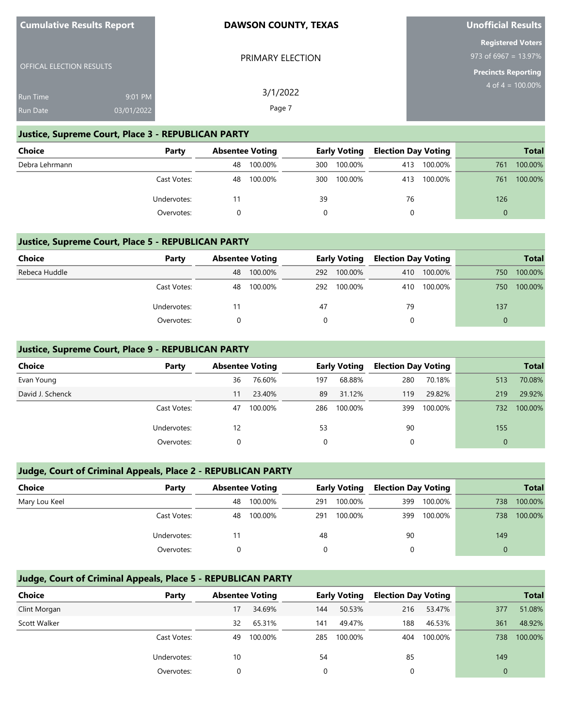| <b>Cumulative Results Report</b> |  |  |  |  |
|----------------------------------|--|--|--|--|
|----------------------------------|--|--|--|--|

OFFICAL ELECTION RESULTS

#### **DAWSON COUNTY, TEXAS**

PRIMARY ELECTION

3/1/2022 Page 7

# **Unofficial Results**

**Registered Voters** 973 of 6967 = 13.97%

**Precincts Reporting** 4 of  $4 = 100.00\%$ 

Run Time Run Date 9:01 PM 03/01/2022

#### **Justice, Supreme Court, Place 3 - REPUBLICAN PARTY**

| Choice         | Party       |    | <b>Absentee Voting</b> | <b>Early Voting</b> |         | <b>Election Day Voting</b> |         |     | <b>Total</b> |
|----------------|-------------|----|------------------------|---------------------|---------|----------------------------|---------|-----|--------------|
| Debra Lehrmann |             | 48 | 100.00%                | 300                 | 100.00% | 413                        | 100.00% | 761 | 100.00%      |
|                | Cast Votes: | 48 | 100.00%                | 300                 | 100.00% | 413                        | 100.00% | 761 | 100.00%      |
|                | Undervotes: |    |                        | 39                  |         | 76                         |         | 126 |              |
|                | Overvotes:  |    |                        |                     |         |                            |         |     |              |

#### **Justice, Supreme Court, Place 5 - REPUBLICAN PARTY**

| Choice        | Party       |    | <b>Absentee Voting</b> |    | <b>Early Voting</b> |     | <b>Election Day Voting</b> |     | <b>Total</b> |
|---------------|-------------|----|------------------------|----|---------------------|-----|----------------------------|-----|--------------|
| Rebeca Huddle |             | 48 | 100.00%                |    | 292 100.00%         | 410 | 100.00%                    | 750 | 100.00%      |
|               | Cast Votes: | 48 | 100.00%                |    | 292 100.00%         |     | 410 100.00%                | 750 | 100.00%      |
|               | Undervotes: |    |                        | 47 |                     | 79  |                            | 137 |              |
|               | Overvotes:  |    |                        |    |                     |     |                            |     |              |

#### **Justice, Supreme Court, Place 9 - REPUBLICAN PARTY**

| <b>Choice</b>    | Party       |    | <b>Absentee Voting</b> |     | <b>Early Voting</b> | <b>Election Day Voting</b> |         |          | <b>Total</b> |
|------------------|-------------|----|------------------------|-----|---------------------|----------------------------|---------|----------|--------------|
| Evan Young       |             | 36 | 76.60%                 | 197 | 68.88%              | 280                        | 70.18%  | 513      | 70.08%       |
| David J. Schenck |             | 11 | 23.40%                 | 89  | 31.12%              | 119                        | 29.82%  | 219      | 29.92%       |
|                  | Cast Votes: | 47 | 100.00%                | 286 | 100.00%             | 399                        | 100.00% | 732      | 100.00%      |
|                  | Undervotes: | 12 |                        | 53  |                     | 90                         |         | 155      |              |
|                  | Overvotes:  |    |                        | 0   |                     |                            |         | $\Omega$ |              |

#### **Judge, Court of Criminal Appeals, Place 2 - REPUBLICAN PARTY**

| <b>Choice</b> | Party       |    | <b>Absentee Voting</b> |     |         |     | <b>Early Voting</b> |     |         |  | <b>Election Day Voting</b> |  | <b>Total</b> |
|---------------|-------------|----|------------------------|-----|---------|-----|---------------------|-----|---------|--|----------------------------|--|--------------|
| Mary Lou Keel |             | 48 | 100.00%                | 291 | 100.00% | 399 | 100.00%             | 738 | 100.00% |  |                            |  |              |
|               | Cast Votes: | 48 | 100.00%                | 291 | 100.00% | 399 | 100.00%             | 738 | 100.00% |  |                            |  |              |
|               | Undervotes: |    |                        | 48  |         | 90  |                     | 149 |         |  |                            |  |              |
|               | Overvotes:  |    |                        |     |         |     |                     |     |         |  |                            |  |              |

## **Judge, Court of Criminal Appeals, Place 5 - REPUBLICAN PARTY**

| Choice       | Party       | <b>Absentee Voting</b> |         |     | <b>Early Voting</b> | <b>Election Day Voting</b> |         |                | <b>Total</b> |
|--------------|-------------|------------------------|---------|-----|---------------------|----------------------------|---------|----------------|--------------|
| Clint Morgan |             | 17                     | 34.69%  | 144 | 50.53%              | 216                        | 53.47%  | 377            | 51.08%       |
| Scott Walker |             | 32                     | 65.31%  | 141 | 49.47%              | 188                        | 46.53%  | 361            | 48.92%       |
|              | Cast Votes: | 49                     | 100.00% | 285 | 100.00%             | 404                        | 100.00% | 738            | 100.00%      |
|              | Undervotes: | 10                     |         | 54  |                     | 85                         |         | 149            |              |
|              | Overvotes:  |                        |         | 0   |                     |                            |         | $\overline{0}$ |              |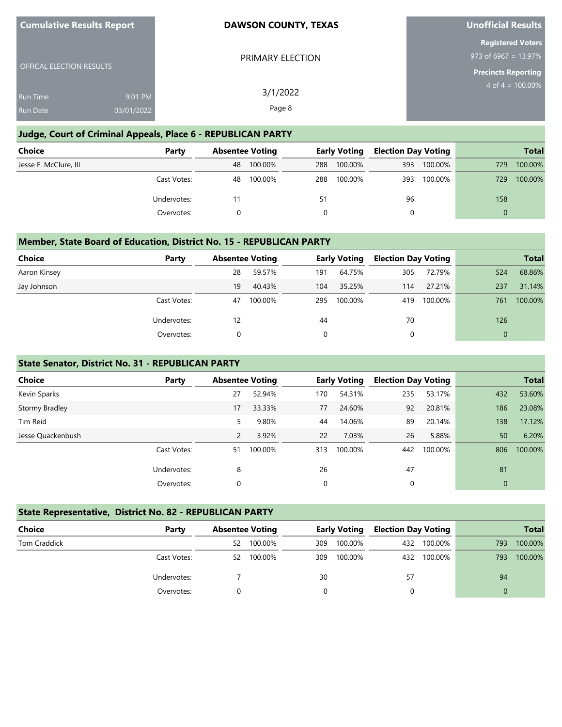| <b>Cumulative Results Report</b> |                       | <b>DAWSON COUNTY, TEXAS</b> | <b>Unofficial Results</b><br><b>Registered Voters</b><br>973 of 6967 = 13.97%<br><b>Precincts Reporting</b><br>$4$ of $4 = 100.00\%$ |  |  |  |
|----------------------------------|-----------------------|-----------------------------|--------------------------------------------------------------------------------------------------------------------------------------|--|--|--|
| <b>OFFICAL ELECTION RESULTS</b>  |                       | PRIMARY ELECTION            |                                                                                                                                      |  |  |  |
| Run Time<br><b>Run Date</b>      | 9:01 PM<br>03/01/2022 | 3/1/2022<br>Page 8          |                                                                                                                                      |  |  |  |

## **Judge, Court of Criminal Appeals, Place 6 - REPUBLICAN PARTY**

**Cumulative Results Report**

| <b>Choice</b>         | Party       | <b>Absentee Voting</b> |         | <b>Early Voting</b> |         | <b>Election Day Voting</b> |         |          | <b>Total</b> |
|-----------------------|-------------|------------------------|---------|---------------------|---------|----------------------------|---------|----------|--------------|
| Jesse F. McClure, III |             | 48                     | 100.00% | 288                 | 100.00% | 393                        | 100.00% | 729      | 100.00%      |
|                       | Cast Votes: | 48                     | 100.00% | 288                 | 100.00% | 393                        | 100.00% | 729      | 100.00%      |
|                       | Undervotes: | 11                     |         | 51                  |         | 96                         |         | 158      |              |
|                       | Overvotes:  |                        |         |                     |         | 0                          |         | $\Omega$ |              |

#### **Member, State Board of Education, District No. 15 - REPUBLICAN PARTY**

| <b>Choice</b> | Party       | <b>Absentee Voting</b> |         |     | <b>Early Voting</b> | <b>Election Day Voting</b> |         |              | <b>Total</b> |
|---------------|-------------|------------------------|---------|-----|---------------------|----------------------------|---------|--------------|--------------|
| Aaron Kinsey  |             | 28                     | 59.57%  | 191 | 64.75%              | 305                        | 72.79%  | 524          | 68.86%       |
| Jay Johnson   |             | 19                     | 40.43%  | 104 | 35.25%              | 114                        | 27.21%  | 237          | 31.14%       |
|               | Cast Votes: | 47                     | 100.00% | 295 | 100.00%             | 419                        | 100.00% | 761          | 100.00%      |
|               | Undervotes: | 12                     |         | 44  |                     | 70                         |         | 126          |              |
|               | Overvotes:  | 0                      |         | 0   |                     | $\mathbf 0$                |         | $\mathbf{0}$ |              |

#### **State Senator, District No. 31 - REPUBLICAN PARTY**

| Choice            | Party       | <b>Absentee Voting</b> |         |     | <b>Early Voting</b> | <b>Election Day Voting</b> |         |                | <b>Total</b> |
|-------------------|-------------|------------------------|---------|-----|---------------------|----------------------------|---------|----------------|--------------|
| Kevin Sparks      |             | 27                     | 52.94%  | 170 | 54.31%              | 235                        | 53.17%  | 432            | 53.60%       |
| Stormy Bradley    |             | 17                     | 33.33%  | 77  | 24.60%              | 92                         | 20.81%  | 186            | 23.08%       |
| Tim Reid          |             | 5                      | 9.80%   | 44  | 14.06%              | 89                         | 20.14%  | 138            | 17.12%       |
| Jesse Quackenbush |             | 2                      | 3.92%   | 22  | 7.03%               | 26                         | 5.88%   | 50             | 6.20%        |
|                   | Cast Votes: | 51                     | 100.00% | 313 | 100.00%             | 442                        | 100.00% | 806            | 100.00%      |
|                   | Undervotes: | 8                      |         | 26  |                     | 47                         |         | 81             |              |
|                   | Overvotes:  | $\Omega$               |         | 0   |                     | $\Omega$                   |         | $\overline{0}$ |              |

#### **State Representative, District No. 82 - REPUBLICAN PARTY**

| <b>Choice</b> | Party       | <b>Absentee Voting</b> |         |     |         |    | <b>Early Voting</b> |     |         |  | <b>Election Day Voting</b> |  | <b>Total</b> |
|---------------|-------------|------------------------|---------|-----|---------|----|---------------------|-----|---------|--|----------------------------|--|--------------|
| Tom Craddick  |             | 52                     | 100.00% | 309 | 100.00% |    | 432 100.00%         | 793 | 100.00% |  |                            |  |              |
|               | Cast Votes: | 52                     | 100.00% | 309 | 100.00% |    | 432 100.00%         | 793 | 100.00% |  |                            |  |              |
|               | Undervotes: |                        |         | 30  |         | 57 |                     | 94  |         |  |                            |  |              |
|               | Overvotes:  |                        |         |     |         |    |                     |     |         |  |                            |  |              |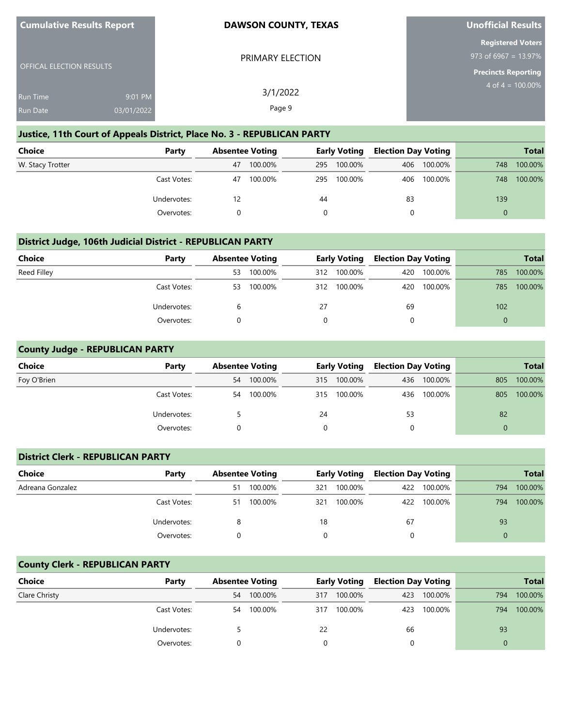| <b>Cumulative Results Report</b>   |                       | <b>DAWSON COUNTY, TEXAS</b> | Unofficial Results                                                             |  |  |  |
|------------------------------------|-----------------------|-----------------------------|--------------------------------------------------------------------------------|--|--|--|
| <b>OFFICAL ELECTION RESULTS</b>    |                       | PRIMARY ELECTION            | <b>Registered Voters</b><br>973 of 6967 = 13.97%<br><b>Precincts Reporting</b> |  |  |  |
| <b>Run Time</b><br><b>Run Date</b> | 9:01 PM<br>03/01/2022 | 3/1/2022<br>Page 9          | $4$ of $4 = 100.00\%$                                                          |  |  |  |

## **Justice, 11th Court of Appeals District, Place No. 3 - REPUBLICAN PARTY**

| Choice           | Party       | <b>Absentee Voting</b> |         | Early Voting |         | <b>Election Day Voting</b> |         |          | <b>Total</b> |
|------------------|-------------|------------------------|---------|--------------|---------|----------------------------|---------|----------|--------------|
| W. Stacy Trotter |             | 47                     | 100.00% | 295          | 100.00% | 406                        | 100.00% | 748      | 100.00%      |
|                  | Cast Votes: | 47                     | 100.00% | 295          | 100.00% | 406                        | 100.00% | 748      | 100.00%      |
|                  | Undervotes: | 12                     |         | 44           |         | 83                         |         | 139      |              |
|                  | Overvotes:  |                        |         |              |         |                            |         | $\Omega$ |              |

## **District Judge, 106th Judicial District - REPUBLICAN PARTY**

| <b>Choice</b> | Party       | <b>Absentee Voting</b> |         | <b>Early Voting</b> |             | <b>Election Day Voting</b> |             |          | <b>Total</b> |
|---------------|-------------|------------------------|---------|---------------------|-------------|----------------------------|-------------|----------|--------------|
| Reed Filley   |             | 53.                    | 100.00% |                     | 312 100.00% | 420                        | 100.00%     | 785      | 100.00%      |
|               | Cast Votes: | 53                     | 100.00% |                     | 312 100.00% |                            | 420 100.00% | 785      | 100.00%      |
|               | Undervotes: |                        |         | 27                  |             | 69                         |             | 102      |              |
|               | Overvotes:  |                        |         | 0                   |             | $\Omega$                   |             | $\Omega$ |              |

## **County Judge - REPUBLICAN PARTY**

**Cumulative Results Report**

| <b>Choice</b> | Party       | <b>Absentee Voting</b> |         |     |         | <b>Early Voting</b> |             | <b>Election Day Voting</b> |         |  | <b>Total</b> |
|---------------|-------------|------------------------|---------|-----|---------|---------------------|-------------|----------------------------|---------|--|--------------|
| Foy O'Brien   |             | 54                     | 100.00% | 315 | 100.00% |                     | 436 100.00% | 805                        | 100.00% |  |              |
|               | Cast Votes: | 54                     | 100.00% | 315 | 100.00% |                     | 436 100.00% | 805                        | 100.00% |  |              |
|               | Undervotes: |                        |         | 24  |         | 53                  |             | 82                         |         |  |              |
|               | Overvotes:  |                        |         |     |         | 0                   |             | $\Omega$                   |         |  |              |

## **District Clerk - REPUBLICAN PARTY**

| Choice           | Party       | <b>Absentee Voting</b> |         | Early Voting |         | <b>Election Day Voting</b> |             |     | <b>Total</b> |
|------------------|-------------|------------------------|---------|--------------|---------|----------------------------|-------------|-----|--------------|
| Adreana Gonzalez |             | 51                     | 100.00% | 321          | 100.00% |                            | 422 100.00% | 794 | 100.00%      |
|                  | Cast Votes: | 51                     | 100.00% | 321          | 100.00% |                            | 422 100.00% | 794 | 100.00%      |
|                  | Undervotes: | 8                      |         | 18           |         | 67                         |             | 93  |              |
|                  | Overvotes:  |                        |         | $\Omega$     |         |                            |             | 0   |              |

## **County Clerk - REPUBLICAN PARTY**

| Choice        | Party       | <b>Absentee Voting</b> |         | <b>Early Voting</b> |         | <b>Election Day Voting</b> |             |     | <b>Total</b> |
|---------------|-------------|------------------------|---------|---------------------|---------|----------------------------|-------------|-----|--------------|
| Clare Christy |             | 54                     | 100.00% | 317                 | 100.00% | 423                        | 100.00%     | 794 | 100.00%      |
|               | Cast Votes: | 54                     | 100.00% | 317                 | 100.00% |                            | 423 100.00% | 794 | 100.00%      |
|               | Undervotes: |                        |         | 22                  |         | 66                         |             | 93  |              |
|               | Overvotes:  |                        |         |                     |         |                            |             |     |              |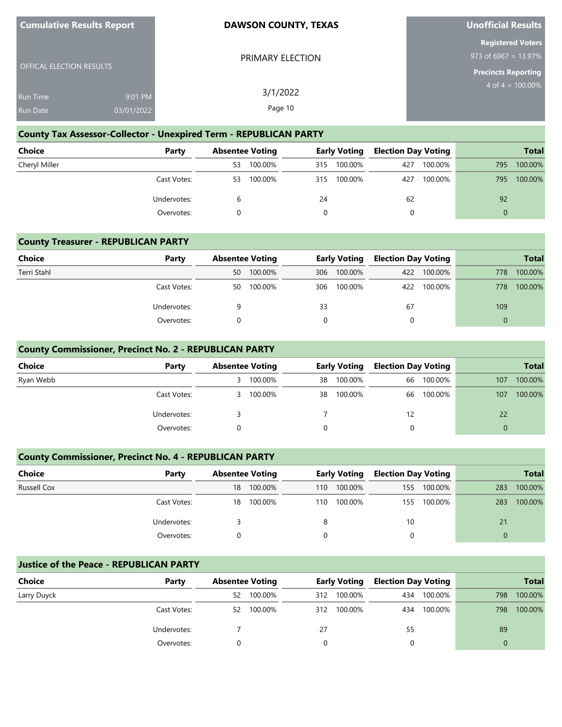| <b>Cumulative Results Report</b> |                       | <b>DAWSON COUNTY, TEXAS</b> | <b>Unofficial Results</b>                                                         |  |  |
|----------------------------------|-----------------------|-----------------------------|-----------------------------------------------------------------------------------|--|--|
| <b>OFFICAL ELECTION RESULTS</b>  |                       | PRIMARY ELECTION            | <b>Registered Voters</b><br>973 of 6967 = $13.97\%$<br><b>Precincts Reporting</b> |  |  |
| <b>Run Time</b><br>Run Date      | 9:01 PM<br>03/01/2022 | 3/1/2022<br>Page 10         | $4$ of $4 = 100.00\%$                                                             |  |  |

## **County Tax Assessor-Collector - Unexpired Term - REPUBLICAN PARTY**

**Cumulative Results Report**

| <b>Choice</b> | Party       | <b>Absentee Voting</b> |         | Early Voting |         | <b>Election Day Voting</b> |         |     | <b>Total</b> |
|---------------|-------------|------------------------|---------|--------------|---------|----------------------------|---------|-----|--------------|
| Cheryl Miller |             | 53                     | 100.00% | 315          | 100.00% | 427                        | 100.00% | 795 | 100.00%      |
|               | Cast Votes: | 53                     | 100.00% | 315          | 100.00% | 427                        | 100.00% | 795 | 100.00%      |
|               | Undervotes: |                        |         | 24           |         | 62                         |         | 92  |              |
|               | Overvotes:  |                        |         |              |         |                            |         | 0   |              |

# **County Treasurer - REPUBLICAN PARTY**

| Choice      | Party       |    | <b>Absentee Voting</b> | <b>Early Voting</b> |             | <b>Election Day Voting</b> |             | <b>Total</b> |         |  |
|-------------|-------------|----|------------------------|---------------------|-------------|----------------------------|-------------|--------------|---------|--|
| Terri Stahl |             | 50 | 100.00%                |                     | 306 100.00% |                            | 422 100.00% | 778          | 100.00% |  |
|             | Cast Votes: | 50 | 100.00%                |                     | 306 100.00% |                            | 422 100.00% | 778          | 100.00% |  |
|             | Undervotes: |    |                        | 33                  |             | 67                         |             | 109          |         |  |
|             | Overvotes:  |    |                        |                     |             |                            |             |              |         |  |

# **County Commissioner, Precinct No. 2 - REPUBLICAN PARTY**

| <b>Choice</b> | Party       |   | <b>Absentee Voting</b> |          | <b>Early Voting</b> |    | <b>Election Day Voting</b> |     | <b>Total</b> |
|---------------|-------------|---|------------------------|----------|---------------------|----|----------------------------|-----|--------------|
| Ryan Webb     |             | 3 | 100.00%                | 38       | 100.00%             | 66 | 100.00%                    | 107 | 100.00%      |
|               | Cast Votes: | 3 | 100.00%                | 38       | 100.00%             | 66 | 100.00%                    | 107 | 100.00%      |
|               | Undervotes: |   |                        |          |                     | 12 |                            | 22  |              |
|               | Overvotes:  |   |                        | $\Omega$ |                     |    |                            |     |              |

#### **County Commissioner, Precinct No. 4 - REPUBLICAN PARTY**

| Choice             | Party       | <b>Absentee Voting</b> |         |     | <b>Early Voting</b> |     | <b>Election Day Voting</b> |     | <b>Total</b> |
|--------------------|-------------|------------------------|---------|-----|---------------------|-----|----------------------------|-----|--------------|
| <b>Russell Cox</b> |             | 18                     | 100.00% | 110 | 100.00%             | 155 | 100.00%                    | 283 | 100.00%      |
|                    | Cast Votes: | 18                     | 100.00% | 110 | 100.00%             | 155 | 100.00%                    | 283 | 100.00%      |
|                    | Undervotes: |                        |         | 8   |                     | 10  |                            | 21  |              |
|                    | Overvotes:  |                        |         |     |                     |     |                            | 0   |              |

## **Justice of the Peace - REPUBLICAN PARTY**

| Choice      | Party       |    | <b>Absentee Voting</b> |     | <b>Early Voting</b> |    | <b>Election Day Voting</b> |     | <b>Total</b> |
|-------------|-------------|----|------------------------|-----|---------------------|----|----------------------------|-----|--------------|
| Larry Duyck |             | 52 | 100.00%                | 312 | 100.00%             |    | 434 100.00%                | 798 | 100.00%      |
|             | Cast Votes: | 52 | 100.00%                | 312 | 100.00%             |    | 434 100.00%                | 798 | 100.00%      |
|             | Undervotes: |    |                        | 27  |                     | 55 |                            | 89  |              |
|             | Overvotes:  |    |                        |     |                     |    |                            |     |              |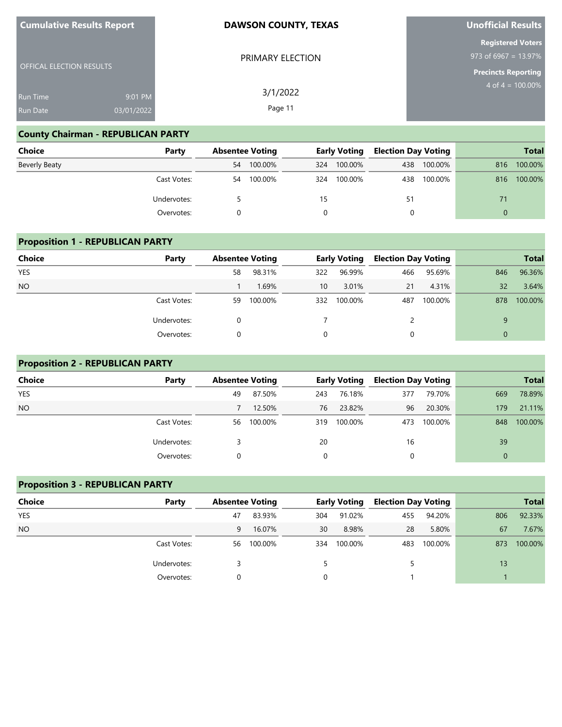| <b>Cumulative Results Report</b> |                       | <b>DAWSON COUNTY, TEXAS</b> | <b>Unofficial Results</b>                                                        |
|----------------------------------|-----------------------|-----------------------------|----------------------------------------------------------------------------------|
| <b>OFFICAL ELECTION RESULTS</b>  |                       | PRIMARY ELECTION            | <b>Registered Voters</b><br>$973$ of 6967 = 13.97%<br><b>Precincts Reporting</b> |
| Run Time<br><b>Run Date</b>      | 9:01 PM<br>03/01/2022 | 3/1/2022<br>Page 11         | $4$ of $4 = 100.00\%$                                                            |

## **County Chairman - REPUBLICAN PARTY**

**Cumulative Results Report**

| <b>Choice</b>        | Party       |    | <b>Absentee Voting</b> |     | <b>Early Voting</b> |     | <b>Election Day Voting</b> |          | <b>Total</b> |
|----------------------|-------------|----|------------------------|-----|---------------------|-----|----------------------------|----------|--------------|
| <b>Beverly Beaty</b> |             | 54 | 100.00%                | 324 | 100.00%             | 438 | 100.00%                    | 816      | 100.00%      |
|                      | Cast Votes: | 54 | 100.00%                | 324 | 100.00%             | 438 | 100.00%                    | 816      | 100.00%      |
|                      | Undervotes: |    |                        | 15  |                     | 51  |                            | 71       |              |
|                      | Overvotes:  |    |                        | 0   |                     | 0   |                            | $\Omega$ |              |

## **Proposition 1 - REPUBLICAN PARTY**

| <b>Choice</b> | Party       |    | <b>Absentee Voting</b> |     | <b>Early Voting</b> | <b>Election Day Voting</b> |         |          | <b>Total</b> |
|---------------|-------------|----|------------------------|-----|---------------------|----------------------------|---------|----------|--------------|
| <b>YES</b>    |             | 58 | 98.31%                 | 322 | 96.99%              | 466                        | 95.69%  | 846      | 96.36%       |
| <b>NO</b>     |             |    | 1.69%                  | 10  | 3.01%               | 21                         | 4.31%   | 32       | 3.64%        |
|               | Cast Votes: | 59 | 100.00%                | 332 | 100.00%             | 487                        | 100.00% | 878      | 100.00%      |
|               | Undervotes: |    |                        |     |                     | 2                          |         | $\Omega$ |              |
|               | Overvotes:  |    |                        | 0   |                     | 0                          |         | $\Omega$ |              |

## **Proposition 2 - REPUBLICAN PARTY**

| Choice          | Party       | <b>Absentee Voting</b> |         |     | <b>Early Voting</b> | <b>Election Day Voting</b> |         |              | <b>Total</b> |
|-----------------|-------------|------------------------|---------|-----|---------------------|----------------------------|---------|--------------|--------------|
| <b>YES</b>      |             | 49                     | 87.50%  | 243 | 76.18%              | 377                        | 79.70%  | 669          | 78.89%       |
| NO <sub>1</sub> |             |                        | 12.50%  | 76  | 23.82%              | 96                         | 20.30%  | 179          | 21.11%       |
|                 | Cast Votes: | 56                     | 100.00% | 319 | 100.00%             | 473                        | 100.00% | 848          | 100.00%      |
|                 | Undervotes: |                        |         | 20  |                     | 16                         |         | 39           |              |
|                 | Overvotes:  |                        |         | 0   |                     | 0                          |         | $\mathbf{0}$ |              |

## **Proposition 3 - REPUBLICAN PARTY**

| <b>Choice</b> | Party       | <b>Absentee Voting</b> |         |     | <b>Early Voting</b> | <b>Election Day Voting</b> |         |     | <b>Total</b> |
|---------------|-------------|------------------------|---------|-----|---------------------|----------------------------|---------|-----|--------------|
| <b>YES</b>    |             | 47                     | 83.93%  | 304 | 91.02%              | 455                        | 94.20%  | 806 | 92.33%       |
| <b>NO</b>     |             | 9                      | 16.07%  | 30  | 8.98%               | 28                         | 5.80%   | 67  | 7.67%        |
|               | Cast Votes: | 56                     | 100.00% | 334 | 100.00%             | 483                        | 100.00% | 873 | 100.00%      |
|               | Undervotes: |                        |         |     |                     |                            |         | 13  |              |
|               | Overvotes:  |                        |         | 0   |                     |                            |         |     |              |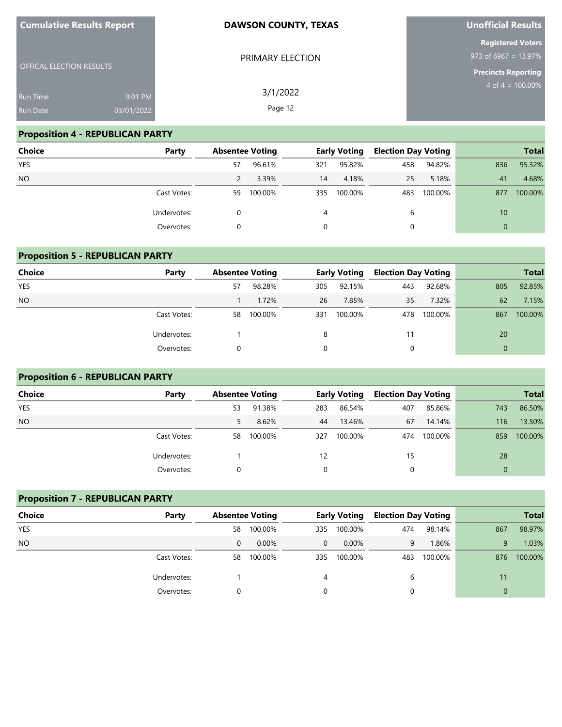| <b>Cumulative Results Report</b> |            | <b>DAWSON COUNTY, TEXAS</b> | Unofficial Results            |
|----------------------------------|------------|-----------------------------|-------------------------------|
|                                  |            |                             | <b>Registered Voters</b>      |
|                                  |            | PRIMARY ELECTION            | 973 of 6967 = 13.97%          |
| <b>OFFICAL ELECTION RESULTS</b>  |            |                             | <b>Precincts Reporting</b>    |
| <b>Run Time</b>                  | 9:01 PM    | 3/1/2022                    | 4 of $\overline{4}$ = 100.00% |
| <b>Run Date</b>                  | 03/01/2022 | Page 12                     |                               |
|                                  |            |                             |                               |

## **Proposition 4 - REPUBLICAN PARTY**

| Choice     | Party       | <b>Absentee Voting</b> |         |     | <b>Early Voting</b> | <b>Election Day Voting</b> |         |          | <b>Total</b> |
|------------|-------------|------------------------|---------|-----|---------------------|----------------------------|---------|----------|--------------|
| <b>YES</b> |             | 57                     | 96.61%  | 321 | 95.82%              | 458                        | 94.82%  | 836      | 95.32%       |
| <b>NO</b>  |             |                        | 3.39%   | 14  | 4.18%               | 25                         | 5.18%   | 41       | 4.68%        |
|            | Cast Votes: | 59                     | 100.00% | 335 | 100.00%             | 483                        | 100.00% | 877      | 100.00%      |
|            | Undervotes: | 0                      |         | 4   |                     | 6                          |         | 10       |              |
|            | Overvotes:  | 0                      |         |     |                     | 0                          |         | $\Omega$ |              |

#### **Proposition 5 - REPUBLICAN PARTY**

| Choice     | Party       | <b>Absentee Voting</b> |         | <b>Early Voting</b> |         | <b>Election Day Voting</b> |         |     | <b>Total</b> |
|------------|-------------|------------------------|---------|---------------------|---------|----------------------------|---------|-----|--------------|
| <b>YES</b> |             | 57                     | 98.28%  | 305                 | 92.15%  | 443                        | 92.68%  | 805 | 92.85%       |
| <b>NO</b>  |             |                        | 1.72%   | 26                  | 7.85%   | 35                         | 7.32%   | 62  | 7.15%        |
|            | Cast Votes: | 58                     | 100.00% | 331                 | 100.00% | 478                        | 100.00% | 867 | 100.00%      |
|            | Undervotes: |                        |         | 8                   |         |                            |         | 20  |              |
|            | Overvotes:  |                        |         | 0                   |         | 0                          |         |     |              |

#### **Proposition 6 - REPUBLICAN PARTY**

| Choice     | Party       | <b>Absentee Voting</b> |         |     | <b>Early Voting</b> | <b>Election Day Voting</b> |         |          | <b>Total</b> |
|------------|-------------|------------------------|---------|-----|---------------------|----------------------------|---------|----------|--------------|
| <b>YES</b> |             | 53                     | 91.38%  | 283 | 86.54%              | 407                        | 85.86%  | 743      | 86.50%       |
| <b>NO</b>  |             |                        | 8.62%   | 44  | 13.46%              | 67                         | 14.14%  | 116      | 13.50%       |
|            | Cast Votes: | 58                     | 100.00% | 327 | 100.00%             | 474                        | 100.00% | 859      | 100.00%      |
|            | Undervotes: |                        |         | 12  |                     | 15                         |         | 28       |              |
|            | Overvotes:  |                        |         | 0   |                     |                            |         | $\Omega$ |              |

# **Proposition 7 - REPUBLICAN PARTY Choice Party Absentee Voting Early Voting Election Day Voting Total** YES 58 100.00% 335 100.00% 474 98.14% 867 98.97% NO 0 0.00% 0 0.00% 9 1.86% 9 1.03% Cast Votes: 58 100.00% 335 100.00% 483 100.00% 876 100.00% Undervotes: 1 4 6 11 Overvotes: 0 0 0 0